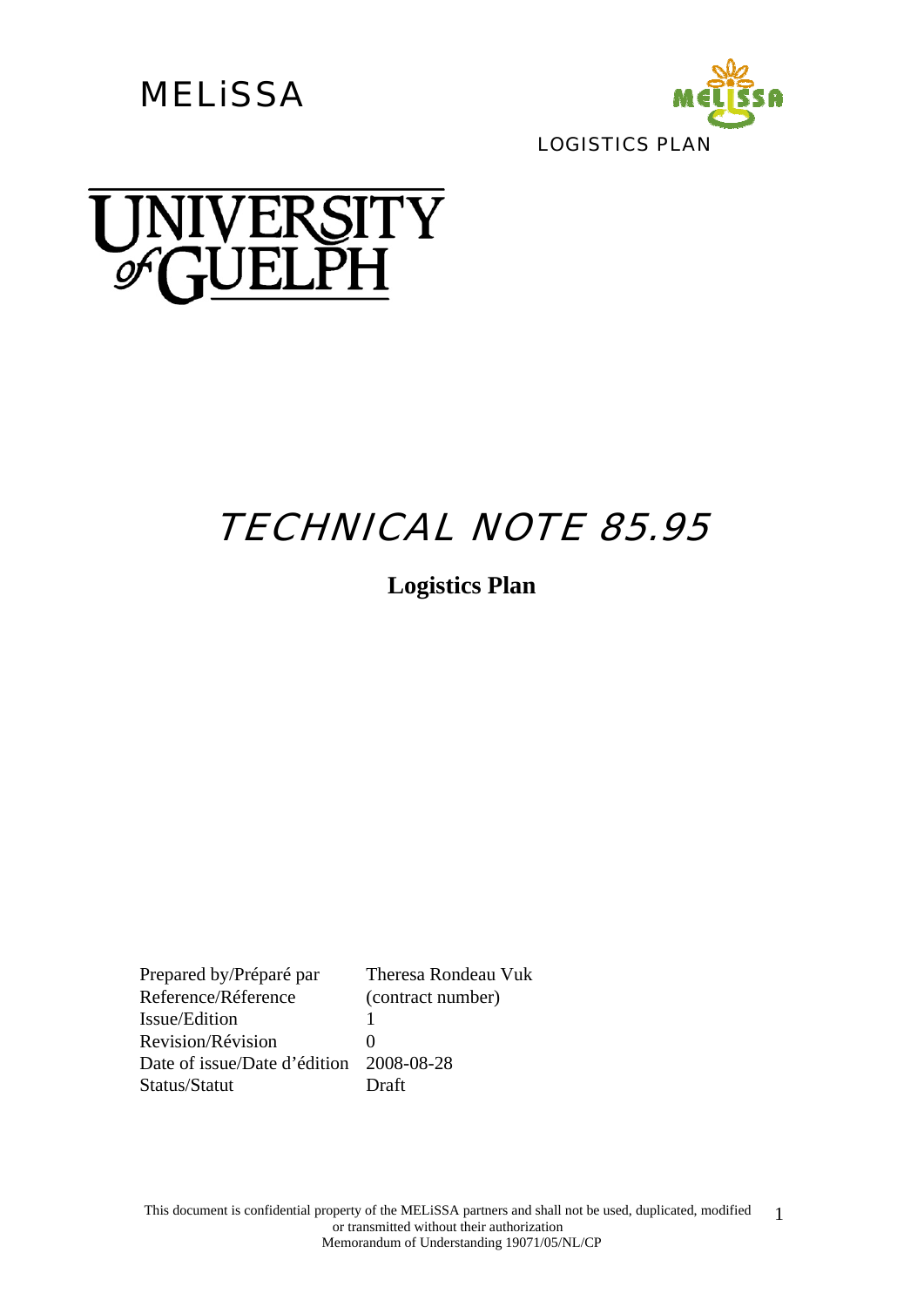



# TECHNICAL NOTE 85.95

**Logistics Plan** 

Prepared by/Préparé par Theresa Rondeau Vuk Reference/Réference (contract number) Issue/Edition 1 Revision/Révision 0 Date of issue/Date d'édition 2008-08-28 Status/Statut Draft

This document is confidential property of the MELiSSA partners and shall not be used, duplicated, modified or transmitted without their authorization Memorandum of Understanding 19071/05/NL/CP 1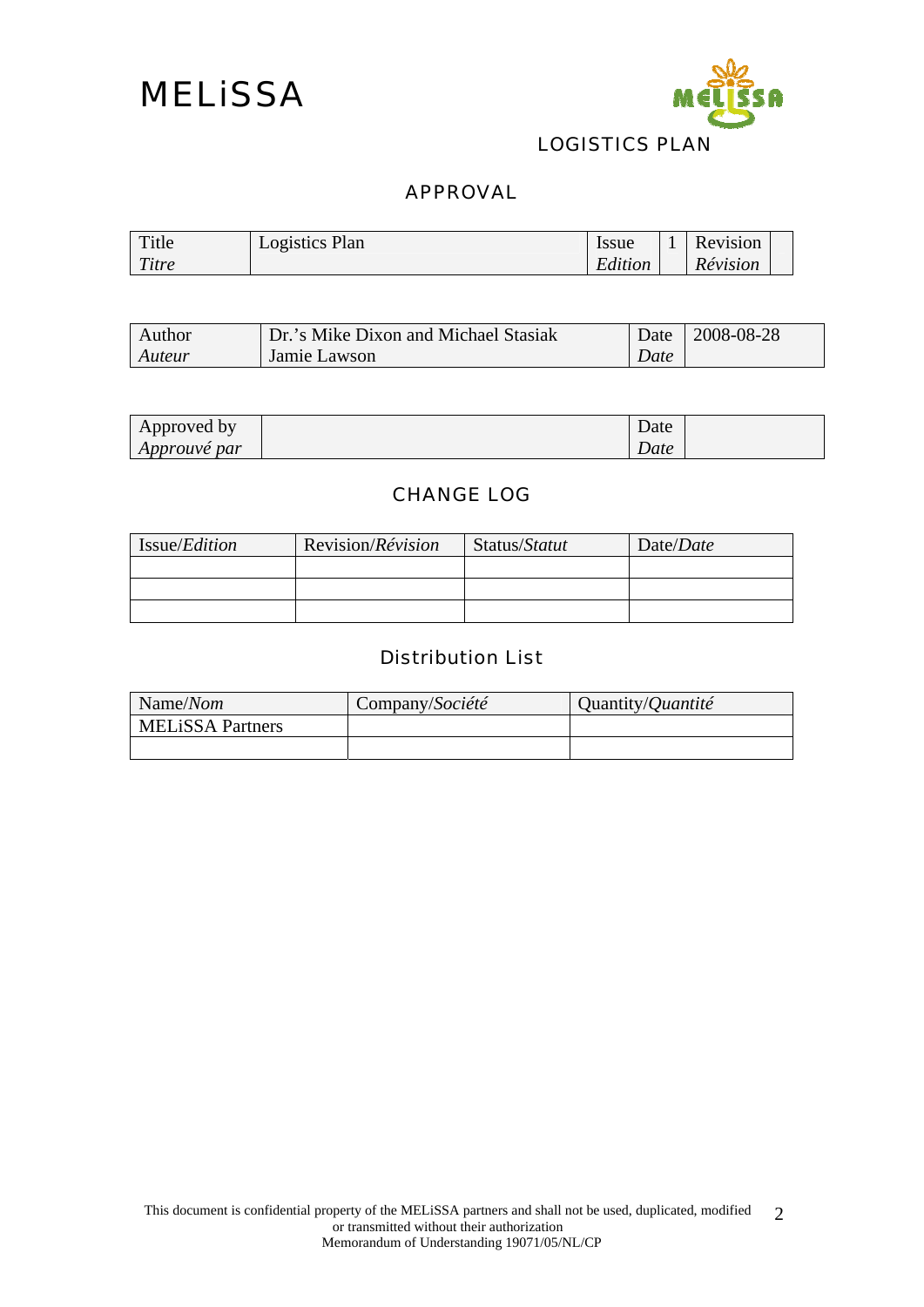

### APPROVAL

| Title | Logistics Plan | <b>Issue</b> | Revision |  |
|-------|----------------|--------------|----------|--|
| Titre |                | Edition      | Révision |  |

| Author | Dr.'s Mike Dixon and Michael Stasiak |      | Date 2008-08-28 |
|--------|--------------------------------------|------|-----------------|
| Auteur | Jamie Lawson                         | Date |                 |

| Approved by         | $\overline{\phantom{a}}$<br>Date |  |
|---------------------|----------------------------------|--|
| <i>Approuvé par</i> | Date                             |  |

#### CHANGE LOG

| Issue/ <i>Edition</i> | Revision/ <i>Révision</i> | Status/Statut | Date/ <i>Date</i> |
|-----------------------|---------------------------|---------------|-------------------|
|                       |                           |               |                   |
|                       |                           |               |                   |
|                       |                           |               |                   |

### Distribution List

| Name/Nom                | Company/Société | Quantity/ <i>Quantité</i> |
|-------------------------|-----------------|---------------------------|
| <b>MELISSA Partners</b> |                 |                           |
|                         |                 |                           |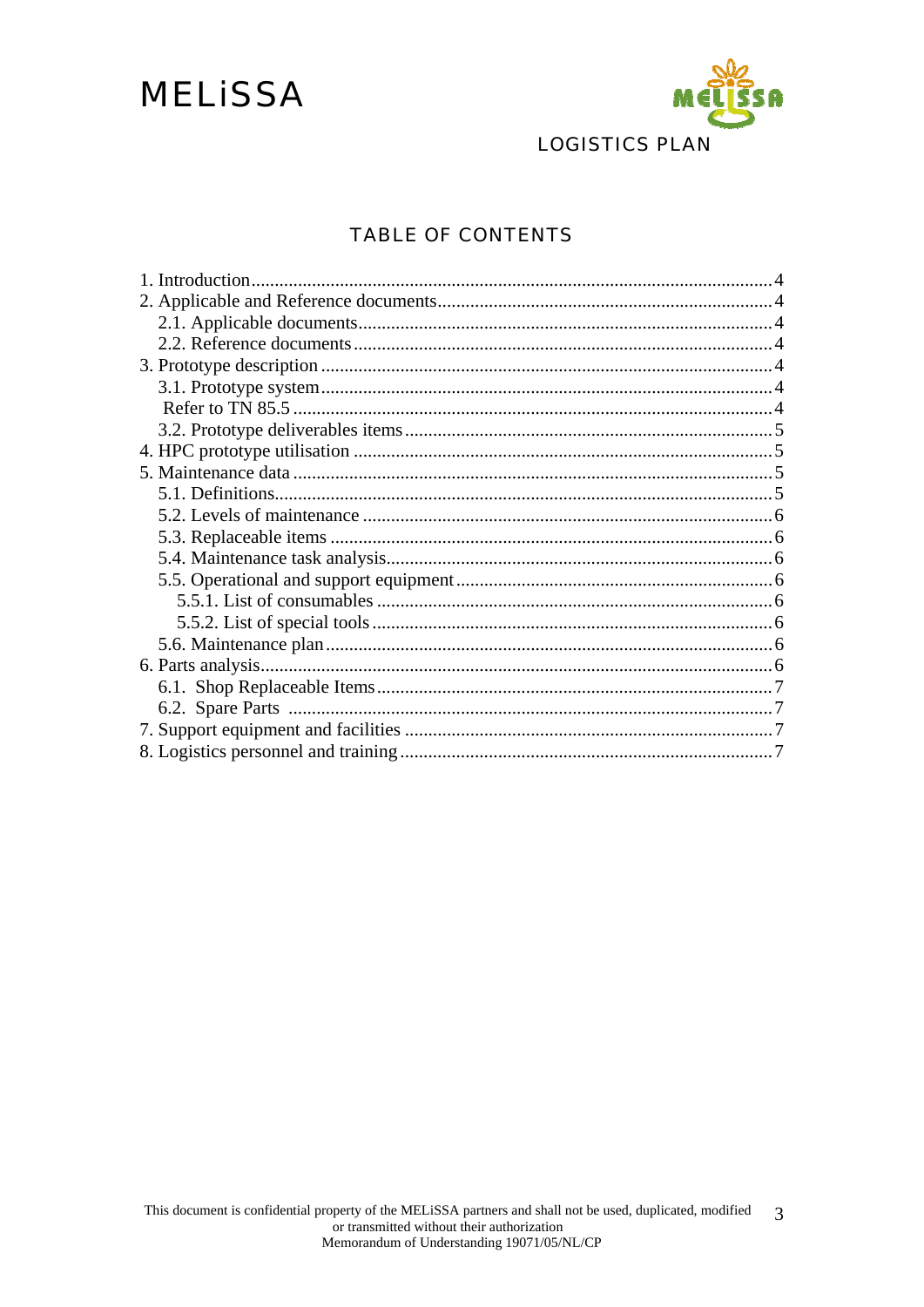# **MELISSA**



## **TABLE OF CONTENTS**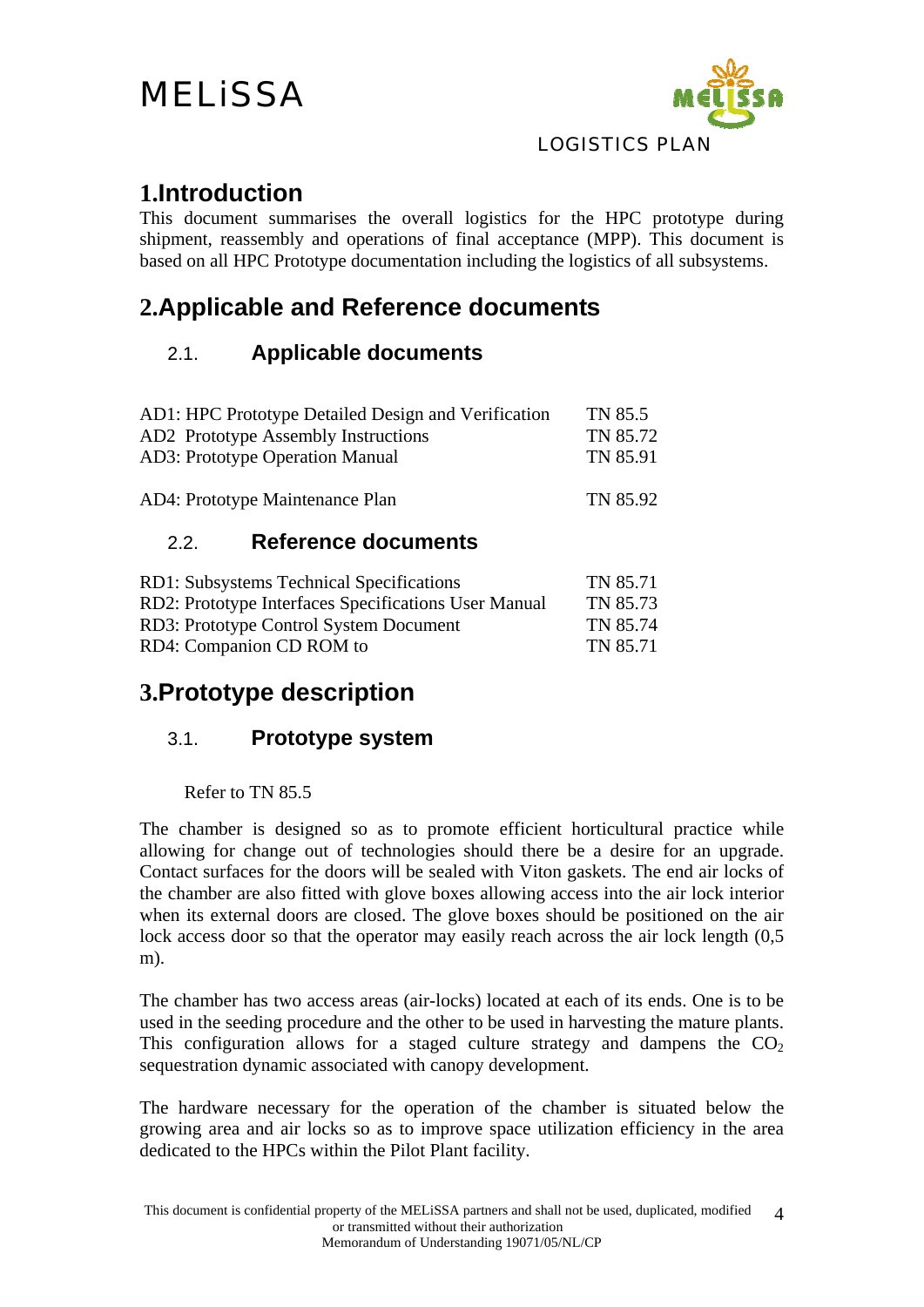

## <span id="page-3-0"></span>**1.Introduction**

This document summarises the overall logistics for the HPC prototype during shipment, reassembly and operations of final acceptance (MPP). This document is based on all HPC Prototype documentation including the logistics of all subsystems.

# **2.Applicable and Reference documents**

## 2.1. **Applicable documents**

| AD1: HPC Prototype Detailed Design and Verification<br>AD2 Prototype Assembly Instructions<br><b>AD3: Prototype Operation Manual</b> | TN 85.5<br>TN 85.72<br>TN 85.91 |
|--------------------------------------------------------------------------------------------------------------------------------------|---------------------------------|
| AD4: Prototype Maintenance Plan                                                                                                      | TN 85.92                        |
| <b>Reference documents</b><br>2.2.                                                                                                   |                                 |
| <b>RD1</b> : Subsystems Technical Specifications                                                                                     | TN 85.71                        |
| RD2: Prototype Interfaces Specifications User Manual                                                                                 | TN 85.73                        |
| RD3: Prototype Control System Document                                                                                               | TN 85.74                        |

RD4: Companion CD ROM to TN 85.71

# **3.Prototype description**

### 3.1. **Prototype system**

Refer to TN 85.5

The chamber is designed so as to promote efficient horticultural practice while allowing for change out of technologies should there be a desire for an upgrade. Contact surfaces for the doors will be sealed with Viton gaskets. The end air locks of the chamber are also fitted with glove boxes allowing access into the air lock interior when its external doors are closed. The glove boxes should be positioned on the air lock access door so that the operator may easily reach across the air lock length  $(0.5)$ m).

The chamber has two access areas (air-locks) located at each of its ends. One is to be used in the seeding procedure and the other to be used in harvesting the mature plants. This configuration allows for a staged culture strategy and dampens the  $CO<sub>2</sub>$ sequestration dynamic associated with canopy development.

The hardware necessary for the operation of the chamber is situated below the growing area and air locks so as to improve space utilization efficiency in the area dedicated to the HPCs within the Pilot Plant facility.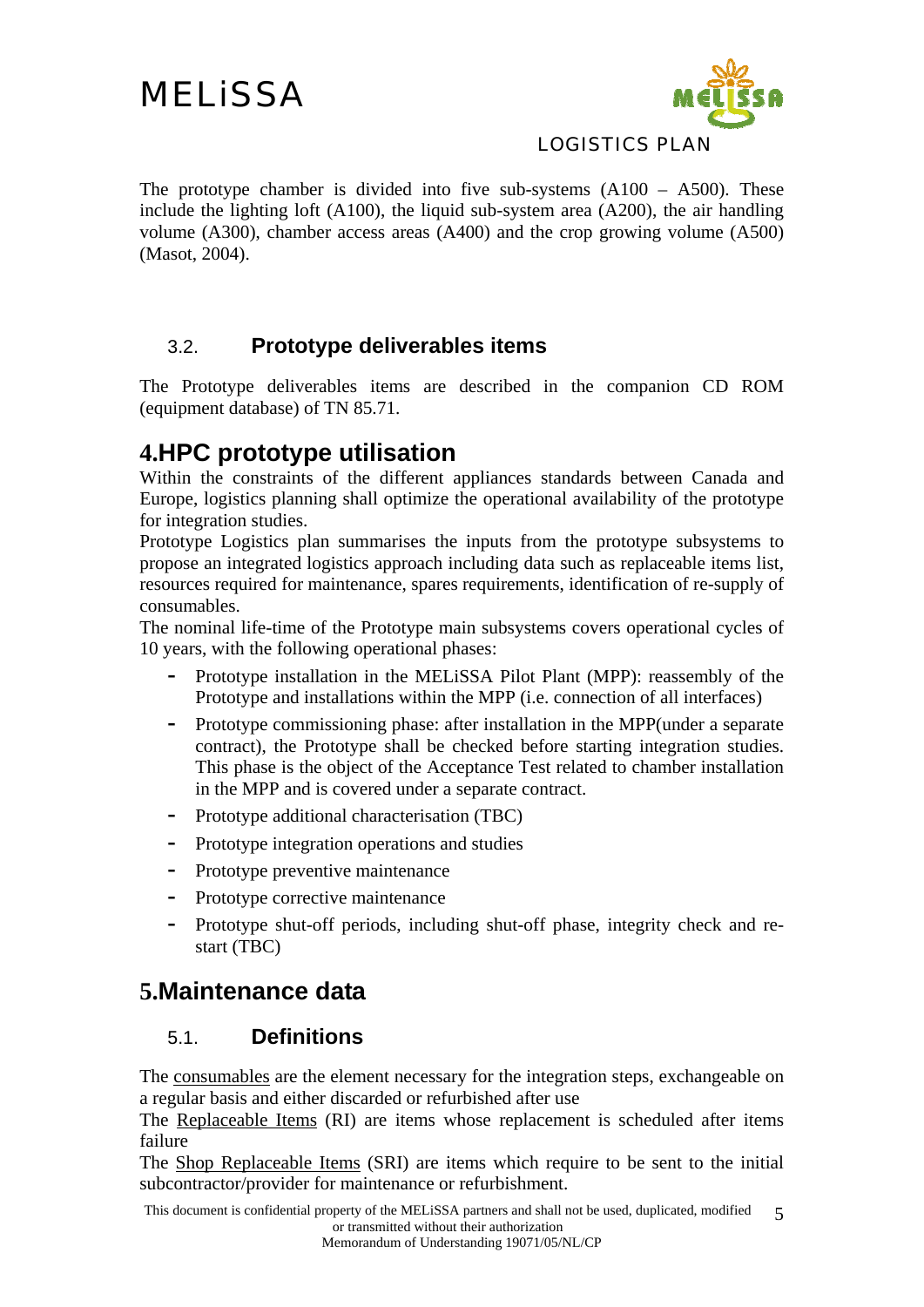

#### LOGISTICS PLAN

<span id="page-4-0"></span>The prototype chamber is divided into five sub-systems  $(A100 - A500)$ . These include the lighting loft (A100), the liquid sub-system area (A200), the air handling volume (A300), chamber access areas (A400) and the crop growing volume (A500) (Masot, 2004).

### 3.2. **Prototype deliverables items**

The Prototype deliverables items are described in the companion CD ROM (equipment database) of TN 85.71.

# **4.HPC prototype utilisation**

Within the constraints of the different appliances standards between Canada and Europe, logistics planning shall optimize the operational availability of the prototype for integration studies.

Prototype Logistics plan summarises the inputs from the prototype subsystems to propose an integrated logistics approach including data such as replaceable items list, resources required for maintenance, spares requirements, identification of re-supply of consumables.

The nominal life-time of the Prototype main subsystems covers operational cycles of 10 years, with the following operational phases:

- **-** Prototype installation in the MELiSSA Pilot Plant (MPP): reassembly of the Prototype and installations within the MPP (i.e. connection of all interfaces)
- **-** Prototype commissioning phase: after installation in the MPP(under a separate contract), the Prototype shall be checked before starting integration studies. This phase is the object of the Acceptance Test related to chamber installation in the MPP and is covered under a separate contract.
- **-** Prototype additional characterisation (TBC)
- **-** Prototype integration operations and studies
- **-** Prototype preventive maintenance
- **-** Prototype corrective maintenance
- **-** Prototype shut-off periods, including shut-off phase, integrity check and restart (TBC)

# **5.Maintenance data**

#### 5.1. **Definitions**

The consumables are the element necessary for the integration steps, exchangeable on a regular basis and either discarded or refurbished after use

The Replaceable Items (RI) are items whose replacement is scheduled after items failure

The Shop Replaceable Items (SRI) are items which require to be sent to the initial subcontractor/provider for maintenance or refurbishment.

This document is confidential property of the MELiSSA partners and shall not be used, duplicated, modified or transmitted without their authorization Memorandum of Understanding 19071/05/NL/CP 5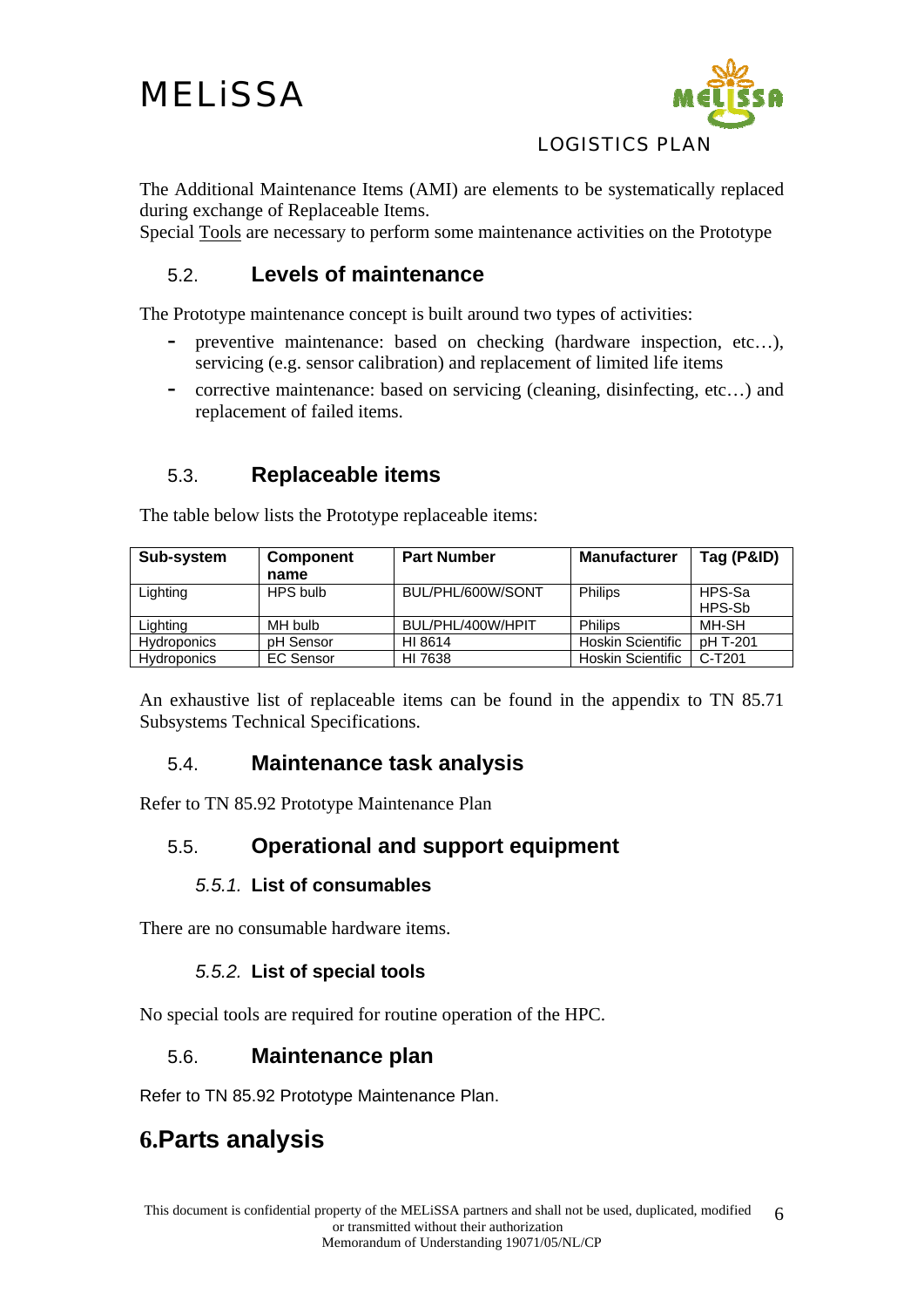

#### <span id="page-5-0"></span>The Additional Maintenance Items (AMI) are elements to be systematically replaced during exchange of Replaceable Items.

Special Tools are necessary to perform some maintenance activities on the Prototype

## 5.2. **Levels of maintenance**

The Prototype maintenance concept is built around two types of activities:

- **-** preventive maintenance: based on checking (hardware inspection, etc…), servicing (e.g. sensor calibration) and replacement of limited life items
- **-** corrective maintenance: based on servicing (cleaning, disinfecting, etc…) and replacement of failed items.

### 5.3. **Replaceable items**

| Sub-system         | <b>Component</b><br>name | <b>Part Number</b> | <b>Manufacturer</b>      | Tag (P&ID)       |
|--------------------|--------------------------|--------------------|--------------------------|------------------|
| Lighting           | HPS bulb                 | BUL/PHL/600W/SONT  | <b>Philips</b>           | HPS-Sa<br>HPS-Sb |
| Lighting           | MH bulb                  | BUL/PHL/400W/HPIT  | <b>Philips</b>           | MH-SH            |
| <b>Hydroponics</b> | pH Sensor                | HI 8614            | <b>Hoskin Scientific</b> | pH T-201         |
| <b>Hydroponics</b> | <b>EC Sensor</b>         | HI 7638            | <b>Hoskin Scientific</b> | C-T201           |

The table below lists the Prototype replaceable items:

An exhaustive list of replaceable items can be found in the appendix to TN 85.71 Subsystems Technical Specifications.

#### 5.4. **Maintenance task analysis**

Refer to TN 85.92 Prototype Maintenance Plan

#### 5.5. **Operational and support equipment**

#### *5.5.1.* **List of consumables**

There are no consumable hardware items.

#### *5.5.2.* **List of special tools**

No special tools are required for routine operation of the HPC.

#### 5.6. **Maintenance plan**

Refer to TN 85.92 Prototype Maintenance Plan.

# **6.Parts analysis**